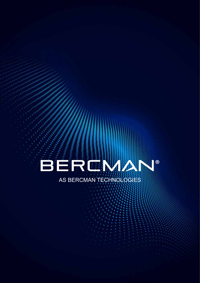

A Contraction of the Account a a construction of the construction of the construction of the construction of 

# AS BERCMAN TECHNOLOGIES

٠ ٠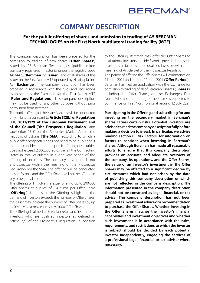## **COMPANY DESCRIPTION**

#### **For the public offering of shares and admission to trading of AS BERCMAN TECHNOLOGIES on the First North multilateral trading facility (MTF)**

This company description has been prepared for the admission to trading of new shares ('**Offer Shares'**) issued by AS Bercman Technologies (public limited company registered in Estonia under the registry code 14134425, '**Bercman**' or '**Issuer**') and of all shares of the Issuer on the First North MTF operated by Nasdaq Tallinn AS ('**Exchange**'). The company description has been prepared in accordance with the rules and regulations established by the Exchange for the First North MTF ('**Rules and Regulations**'). This company description may not be used for any other purpose without prior permission from Bercman.

The public offering of the Issuer's shares will be conducted only in Estonia pursuant to **Article 3(2)b) of Regulation (EU) 2017/1129 of the European Parliament and of the Council ('the Prospectus Regulation**') and subsection 15 (1) of the Securities Market Act of the Republic of Estonia ('**the SMA'**), according to which a public offer prospectus does not need to be published if the total consideration of the public offering of securities does not exceed 2,500,000 euros per all the Contracting States in total calculated in a one-year period of the offering of securities. The company description is not a prospectus within the meaning of the Prospectus Regulation nor the SMA. The offering will be conducted only in Estonia and the Offer Shares will not be offered in any other jurisdiction.

The offering will involve the Issuer offering up to 200,000 Offer Shares at a price of 3.4 euros per Offer Share ('**Offering**'). If interest in the Offering is high and the demand of investors exceeds the number of Offer Shares, the Issuer may increase the number of Offer Shares by up to 20%, i.e. to a maximum of 240,000 Offer Shares.

The Offering is aimed at Estonian retail and institutional investors who are qualified investors as defined in Article 2(e) of the Prospectus Regulation. In addition

to the Offering, Bercman may offer the Offer Shares to institutional investors outside Estonia, provided that such investors can be considered qualified investors within the meaning of Article 2(e) of the Prospectus Regulation. The period of offering the Offer Shares will commence on 14 June 2021 and end on 22 June 2021 ('**Offer Period**'). Bercman has filed an application with the Exchange for admission to trading of all of Bercman's shares ('**Shares**'), including the Offer Shares, on the Exchange's First North MTF, and the trading of the Shares is expected to commence on First North on or at around 12 July 2021.

**Participating in the Offering and subscribing for and investing on the secondary market in Bercman's shares carries certain risks. Potential investors are advised to read the company description fully before making a decision to invest. In particular, we advise reading section 8 'Risk Factors' for information on factors to consider when investing in Bercman's shares. Although Bercman has made all reasonable efforts to ensure that this company description provides an accurate and adequate overview of the company, its operations, and the Offer Shares, the value of an investor's investment in the Offer Shares may be affected to a significant degree by circumstances which had not arisen by the date of publishing this company description or which are not reflected in the company description. The information presented in the company description should not be construed as legal, financial, or tax advice. The company description has not been prepared as investment advice or a recommendation to purchase the Offer Shares. Whether investing in the Offer Shares matches the investor's financial capabilities and investment objectives and whether such investment is in accordance with the rules, requirements, and restrictions to which the investor is subject should be decided by each potential investor independently, engaging the services of a professional legal, financial, or tax adviser where necessary.**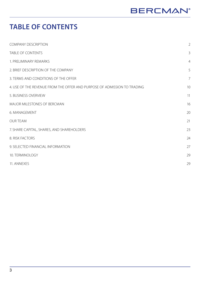## **TABLE OF CONTENTS**

| <b>COMPANY DESCRIPTION</b>                                               | $\overline{2}$ |
|--------------------------------------------------------------------------|----------------|
| <b>TABLE OF CONTENTS</b>                                                 | 3              |
| 1. PRELIMINARY REMARKS                                                   | $\overline{4}$ |
| 2. BRIEF DESCRIPTION OF THE COMPANY                                      | 5              |
| 3. TERMS AND CONDITIONS OF THE OFFER                                     | $\overline{7}$ |
| 4. USE OF THE REVENUE FROM THE OFFER AND PURPOSE OF ADMISSION TO TRADING | 10             |
| 5. BUSINESS OVERVIEW                                                     | 11             |
| MAJOR MILESTONES OF BERCMAN                                              | 16             |
| 6. MANAGEMENT                                                            | 20             |
| <b>OUR TEAM</b>                                                          | 21             |
| 7. SHARE CAPITAL, SHARES, AND SHAREHOLDERS                               | 23             |
| 8. RISK FACTORS                                                          | 24             |
| 9. SELECTED FINANCIAL INFORMATION                                        | 27             |
| 10. TERMINOLOGY                                                          | 29             |
| 11. ANNEXES                                                              | 29             |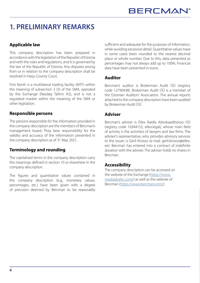## **1. PRELIMINARY REMARKS**

### **Applicable law**

This company description has been prepared in accordance with the legislation of the Republic of Estonia and with the rules and regulations, and it is governed by the law of the Republic of Estonia. Any disputes arising from or in relation to the company description shall be resolved in Harju County Court.

First North is a multilateral trading facility (MTF) within the meaning of subsection 3 (3) of the SMA, operated by the Exchange (Nasdaq Tallinn AS), and is not a regulated market within the meaning of the SMA or other legislation.

### **Responsible persons**

The persons responsible for the information provided in the company description are the members of Bercman's management board. They bear responsibility for the validity and accuracy of the information presented in the company description as of 31 May 2021.

### **Terminology and rounding**

The capitalised terms in the company description carry the meanings defined in section 10 or elsewhere in the company description.

The figures and quantitative values contained in the company description (e.g., monetary values, percentages, etc.) have been given with a degree of precision deemed by Bercman to be reasonably sufficient and adequate for the purposes of information, while avoiding excessive detail. Quantitative values have in some cases been rounded to the nearest decimal place or whole number. Due to this, data presented as percentages may not always add up to 100%. Financial data have been presented in euros.

#### **Auditor**

Bercman's auditor is Brokerman Audit OÜ (registry code 12790438). Brokerman Audit OÜ is a member of the Estonian Auditors' Association. The annual reports attached to the company description have been audited by Brokerman Audit OÜ.

### **Adviser**

Bercman's adviser is Ellex Raidla Advokaadibüroo OÜ (registry code 10344152, ellex.legal), whose main field of activity is the activities of lawyers and law firms. The adviser's representative, who provides advisory services to the Issuer, is Gerli Kivisoo (e-mail: gerli.kivisoo@ellex. ee). Bercman has entered into a contract of indefinite duration with the adviser. The adviser holds no shares in Bercman.

#### **Accessibility**

The company description can be accessed on the website of the Exchange (https://www. nasdaqbaltic.com/) as well as the website of Bercman (https://www.bercman.com/).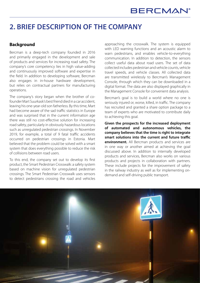## **2. BRIEF DESCRIPTION OF THE COMPANY**

#### **Background**

Bercman is a deep-tech company founded in 2016 and primarily engaged in the development and sale of products and services for increasing road safety. The company's core competency lies in high value-adding and continuously improved software and expertise in the field. In addition to developing software, Bercman also engages in in-house hardware development, but relies on contractual partners for manufacturing operations.

The company's story began when the brother of cofounder Mart Suurkask's best friend died in a car accident, leaving his one-year-old son fatherless. By this time, Mart had become aware of the sad traffic statistics in Europe and was surprised that in the current information age there was still no cost-effective solution for increasing road safety, particularly in obviously hazardous locations such as unregulated pedestrian crossings. In November 2019, for example, a total of 9 fatal traffic accidents occurred on pedestrian crossings in Estonia. Mart believed that the problem could be solved with a smart system that does everything possible to reduce the risk of collisions between road users.

To this end, the company set out to develop its first product, the Smart Pedestrian Crosswalk: a safety system based on machine vision for unregulated pedestrian crossings. The Smart Pedestrian Crosswalk uses sensors to detect pedestrians crossing the road and vehicles approaching the crosswalk. The system is equipped with LED warning functions and an acoustic alarm to warn pedestrians, and enables vehicle-to-everything communication. In addition to detection, the sensors collect useful data about road users. The set of data collected includes pedestrian and vehicle counts, vehicle travel speeds, and vehicle classes. All collected data are transmitted wirelessly to Bercman's Management Console, through which they can be downloaded in a digital format. The data are also displayed graphically in the Management Console for convenient data analysis.

Bercman's goal is to build a world where no one is seriously injured or, worse, killed, in traffic. The company has recruited and granted a share option package to a team of experts who are motivated to contribute daily to achieving this goal.

**Given the prospects for the increased deployment of automated and autonomous vehicles, the company believes that the time is right to integrate smart solutions into the current and future traffic environment.** All Bercman products and services are in one way or another aimed at achieving the goal discussed above. In addition to internally developed products and services, Bercman also works on various products and projects in collaboration with partners. These include projects for the improvement of safety in the railway industry as well as for implementing ondemand and self-driving public transport.

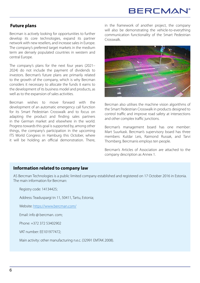## **BERCMAN**

### **Future plans**

Bercman is actively looking for opportunities to further develop its core technologies, expand its partner network with new resellers, and increase sales in Europe. The company's preferred target markets in the medium term are densely populated countries in western and central Europe.

The company's plans for the next four years (2021– 2024) do not include the payment of dividends to investors. Bercman's future plans are primarily related to the growth of the company, which is why Bercman considers it necessary to allocate the funds it earns to the development of its business model and products, as well as to the expansion of sales activities.

Bercman wishes to move forward with the development of an automatic emergency call function for its Smart Pedestrian Crosswalk and to focus on adapting the product and finding sales partners in the German market and elsewhere in the world. Progress towards this goal is supported by, among other things, the company's participation in the upcoming ITS World Congress in Hamburg this October, where it will be holding an official demonstration. There, in the framework of another project, the company will also be demonstrating the vehicle-to-everything communication functionality of the Smart Pedestrian Crosswalk.



Bercman also utilises the machine vision algorithms of the Smart Pedestrian Crosswalk in products designed to control traffic and improve road safety at intersections and other complex traffic junctions.

Bercman's management board has one member: Mart Suurkask. Bercman's supervisory board has three members: Kuldar Leis, Raimond Russak, and Tarvi Thomberg. Bercmanis employs ten people.

Bercman's Articles of Association are attached to the company description as Annex 1.

#### **Information related to company law**

AS Bercman Technologies is a public limited company established and registered on 17 October 2016 in Estonia. The main information for Bercman:

Registry code: 14134425;

Address: Teaduspargi tn 11, 50411, Tartu, Estonia;

Website: https://www.bercman.com/

Email: info @ bercman. com;

Phone: +372 372 53402902

VAT number: EE101977472;

Main activity: other manufacturing n.e.c. (32991 EMTAK 2008).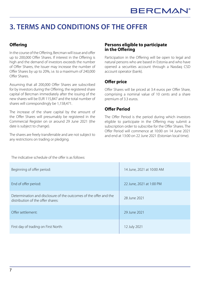## **3. TERMS AND CONDITIONS OF THE OFFER**

### **Offering**

In the course of the Offering, Bercman will issue and offer up to 200,000 Offer Shares. If interest in the Offering is high and the demand of investors exceeds the number of Offer Shares, the Issuer may increase the number of Offer Shares by up to 20%, i.e. to a maximum of 240,000 Offer Shares.

Assuming that all 200,000 Offer Shares are subscribed for by investors during the Offering, the registered share capital of Bercman immediately after the issuing of the new shares will be EUR 115,847 and the total number of shares will correspondingly be 1,158,471.

The increase of the share capital by the amount of the Offer Shares will presumably be registered in the Commercial Register on or around 29 June 2021 (the date is subject to change).

The shares are freely transferrable and are not subject to any restrictions on trading or pledging.

#### **Persons eligible to participate in the Offering**

Participation in the Offering will be open to legal and natural persons who are based in Estonia and who have opened a securities account through a Nasdaq CSD account operator (bank).

### **Offer price**

Offer Shares will be priced at 3.4 euros per Offer Share, comprising a nominal value of 10 cents and a share premium of 3.3 euros.

### **Offer Period**

The Offer Period is the period during which investors eligible to participate in the Offering may submit a subscription order to subscribe for the Offer Shares. The Offer Period will commence at 10:00 on 14 June 2021 and end at 13:00 on 22 June 2021 (Estonian local time).

The indicative schedule of the offer is as follows:

| Beginning of offer period:                                                                             | 14 June, 2021 at 10:00 AM |
|--------------------------------------------------------------------------------------------------------|---------------------------|
| End of offer period:                                                                                   | 22 June, 2021 at 1:00 PM  |
| Determination and disclosure of the outcomes of the offer and the<br>distribution of the offer shares: | 28 June 2021              |
| Offer settlement:                                                                                      | 29 June 2021              |
| First day of trading on First North:                                                                   | 12 July 2021              |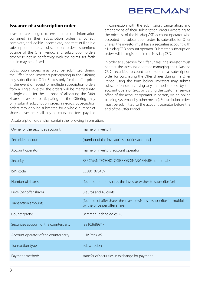### **Issuance of a subscription order**

Investors are obliged to ensure that the information contained in their subscription orders is correct, complete, and legible. Incomplete, incorrect, or illegible subscription orders, subscription orders submitted outside of the Offer Period, and subscription orders otherwise not in conformity with the terms set forth herein may be refused.

Subscription orders may only be submitted during the Offer Period. Investors participating in the Offering may subscribe for Offer Shares only for the offer price. In the event of receipt of multiple subscription orders from a single investor, the orders will be merged into a single order for the purpose of allocating the Offer Shares. Investors participating in the Offering may only submit subscription orders in euros. Subscription orders may only be submitted for a whole number of shares. Investors shall pay all costs and fees payable in connection with the submission, cancellation, and amendment of their subscription orders according to the price list of the Nasdaq CSD account operator who accepted the subscription order. To subscribe for Offer Shares, the investor must have a securities account with a Nasdaq CSD account operator. Submitted subscription orders will be registered in the Nasdaq CSD.

In order to subscribe for Offer Shares, the investor must contact the account operator managing their Nasdaq CSD securities account and submit a subscription order for purchasing the Offer Shares during the Offer Period using the form below. Investors may submit subscription orders using any method offered by the account operator (e.g., by visiting the customer service office of the account operator in person, via an online banking system, or by other means). Subscription orders must be submitted to the account operator before the end of the Offer Period.

A subscription order shall contain the following information:

| Owner of the securities account:        | [name of investor]                                                                                        |
|-----------------------------------------|-----------------------------------------------------------------------------------------------------------|
| Securities account:                     | [number of the investor's securities account]                                                             |
| Account operator:                       | [name of investor's account operator]                                                                     |
| Security:                               | BERCMAN TECHNOLOGIES ORDINARY SHARE additional 4                                                          |
| ISIN code:                              | EE3801076409                                                                                              |
| Number of shares:                       | [Number of offer shares the investor wishes to subscribe for]                                             |
| Price (per offer share):                | 3 euros and 40 cents                                                                                      |
| Transaction amount:                     | [Number of offer shares the investor wishes to subscribe for, multiplied<br>by the price per offer share] |
| Counterparty:                           | Bercman Technologies AS                                                                                   |
| Securities account of the counterparty: | 99103689847                                                                                               |
| Account operator of the counterparty:   | <b>LHV Pank AS</b>                                                                                        |
| Transaction type:                       | subscription                                                                                              |
| Payment method:                         | transfer of securities in exchange for payment                                                            |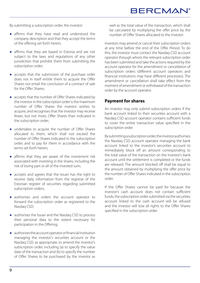## **BERCMAN®**

By submitting a subscription order, the investor:

- **●** affirms that they have read and understood the company description and that they accept the terms of the offering set forth herein;
- **●** affirms that they are based in Estonia and are not subject to the laws and regulations of any other jurisdiction that prohibit them from submitting the subscription order;
- **●** accepts that the submission of the purchase order does not in itself entitle them to acquire the Offer Shares nor entail the conclusion of a contract of sale for the Offer Shares:
- **●** accepts that the number of Offer Shares indicated by the investor in the subscription order is the maximum number of Offer Shares the investor wishes to acquire, and recognises that the investor may receive fewer, but not more, Offer Shares than indicated in the subscription order;
- **●** undertakes to acquire the number of Offer Shares allocated to them, which shall not exceed the number of Offer Shares indicated in the subscription order, and to pay for them in accordance with the terms set forth herein;
- **●** affirms that they are aware of the investment risk associated with investing in the shares, including the risk of losing part or all of the invested sum;
- **●** accepts and agrees that the Issuer has the right to receive daily information from the registrar of the Estonian register of securities regarding submitted subscription orders:
- **●** authorises and orders the account operator to forward the subscription order as registered to the Nasdaq CSD;
- **●** authorises the Issuer and the Nasdaq CSD to process their personal data to the extent necessary for participation in the Offering;
- **●** authorises the account operator or financial institution managing the investor's securities account or the Nasdaq CSD, as appropriate, to amend the investor's subscription order, including (a) to specify the value date of the transaction and (b) to specify the number of Offer Shares to be purchased by the investor as

well as the total value of the transaction, which shall be calculated by multiplying the offer price by the number of Offer Shares allocated to the investor.

Investors may amend or cancel their subscription orders at any time before the end of the Offer Period. To do this, the investor must contact the Nasdaq CSD account operator through whom the relevant subscription order has been submitted and take the actions required by the account operator for the amendment or cancellation of subscription orders (different account operators and financial institutions may have different processes). The amendment or cancellation shall take effect from the moment of amendment or withdrawal of the transaction order by the account operator.

#### **Payment for shares**

An investor may only submit subscription orders if the bank account linked to their securities account with a Nasdaq CSD account operator contains sufficient funds to cover the entire transaction value specified in the subscription order.

By submitting a subscription order, the investor authorises the Nasdaq CSD account operator managing the bank account linked to the investor's securities account to immediately block off an amount corresponding to the total value of the transaction on the investor's bank account until the settlement is completed or the funds are released. The amount blocked off shall be equal to the amount obtained by multiplying the offer price by the number of Offer Shares indicated in the subscription order.

If the Offer Shares cannot be paid for because the investor's cash account does not contain sufficient funds, the subscription order submitted via the securities account linked to the cash account will be refused and the investor will lose all rights to the Offer Shares specified in the subscription order.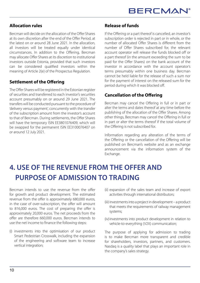### **Allocation rules**

Bercman will decide on the allocation of the Offer Shares at its own discretion after the end of the Offer Period, at the latest on or around 28 June 2021. In the allocation, all investors will be treated equally under identical circumstances. In addition to the Offering, Bercman may allocate Offer Shares at its discretion to institutional investors outside Estonia, provided that such investors can be considered qualified investors within the meaning of Article 2(e) of the Prospectus Regulation.

### **Settlement of the Offering**

The Offer Shares will be registered in the Estonian register of securities and transferred to each investor's securities account presumably on or around 29 June 2021. The transfers will be conducted pursuant to the procedure of 'delivery versus payment', concurrently with the transfer of the subscription amount from the investor's account to that of Bercman. During settlements, the Offer Shares will have the temporary ISIN EE3801076409, which will be swapped for the permanent ISIN EE3100076407 on or around 12 July 2021.

#### **Release of funds**

If the Offering or a part thereof is cancelled, an investor's subscription order is rejected in part or in whole, or the number of allocated Offer Shares is different from the number of Offer Shares subscribed for, the relevant account operator will release the funds blocked off or a part thereof (in the amount exceeding the sum to be paid for the Offer Shares) on the bank account of the investor in accordance with the account operator's terms presumably within one business day. Bercman cannot be held liable for the release of such a sum nor for the payment of interest on the released sum for the period during which it was blocked off.

### **Cancellation of the Offering**

Bercman may cancel the Offering in full or in part or alter the terms and dates thereof at any time before the publishing of the allocation of the Offer Shares. Among other things, Bercman may cancel the Offering in full or in part or alter the terms thereof if the total volume of the Offering is not subscribed for.

Information regarding any alteration of the terms of the Offering or the cancellation of the Offering will be published on Bercman's website and as an exchange announcement via the information system of the Exchange.

## **4. USE OF THE REVENUE FROM THE OFFER AND PURPOSE OF ADMISSION TO TRADING**

Bercman intends to use the revenue from the offer for growth and product development. The estimated revenue from the offer is approximately 680,000 euros, in the case of over-subscription, the offer will amount to 816,000 euros. The cost of preparing the offer is approximately 20,000 euros. The net proceeds from the offer are therefore 660,000 euros. Bercman intends to use the net income to finance the following steps:

(i) investments into the optimisation of our product Smart Pedestrian Crosswalk, including the expansion of the engineering and software team to increase vertical integration;

- (ii) expansion of the sales team and increase of export activities through international distributors;
- (iii) investments into a project in development a product that meets the requirements of railway management systems;
- (iv)investments into product development in relation to vehicle-to-everything (V2X) communication;

The purpose of applying for admission to trading is to make Bercman more transparent and credible for shareholders, investors, partners, and customers. Nasdaq is a quality label that plays an important role in the company's sales strategy.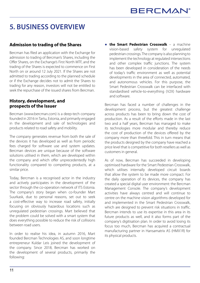## **5. BUSINESS OVERVIEW**

#### **Admission to trading of the Shares**

Bercman has filed an application with the Exchange for admission to trading of Bercman's Shares, including the Offer Shares, on the Exchange's First North MTF, and the trading of the Shares is expected to commence on First North on or around 12 July 2021. If the Shares are not admitted to trading according to the planned schedule or if the Exchange decides not to admit the Shares to trading for any reason, investors will not be entitled to seek the repurchase of the issued shares from Bercman.

#### **History, development, and prospects of the Issuer**

Bercman (www.bercman.com) is a deep-tech company founded in 2016 in Tartu, Estonia, and primarily engaged in the development and sale of technologies and products related to road safety and mobility.

The company generates revenue from both the sale of the devices it has developed as well as from periodic fees charged for software use and system updates. Bercman devices are unique because of the software solutions utilised in them, which are developed within the company and which offer unprecedentedly high functionality compared to competing products, at a similar price.

Today, Bercman is a recognised actor in the industry and actively participates in the development of the sector through the co-operation network of ITS Estonia. The company's story began when co-founder Mart Suurkask, due to personal reasons, set out to seek a cost-effective way to increase road safety, initially focusing on obviously hazardous locations such as unregulated pedestrian crossings. Mart believed that the problem could be solved with a smart system that does everything possible to reduce the risk of collisions between road users.

In order to realise his idea, in autumn 2016, Mart founded Bercman Technologies AS, and soon longtime entrepreneur Kuldar Leis joined the development of the company. Since 2018, Bercman has worked on the development of several products, primarily the following:

**● the Smart Pedestrian Crosswalk** – a machine vision-based safety system for unregulated pedestrian crossings. The company is also planning to implement the technology at regulated intersections and other complex traffic junctions. The system has been developed in consideration of the needs of today's traffic environment as well as potential developments in the area of connected, automated, and autonomous vehicles. For this purpose, the Smart Pedestrian Crosswalk can be interfaced with standardised vehicle-to-everything (V2X) hardware and software.

Bercman has faced a number of challenges in the development process, but the greatest challenge across products has been to bring down the cost of production. As a result of the efforts made in the last two and a half years, Bercman has managed to make its technologies more modular and thereby reduce the cost of production of the devices offered by the company more than threefold. This in turn means that the products designed by the company have reached a price level that is competitive for both resellers as well as customers in general.

As of now, Bercman has succeeded in developing optimised hardware for the Smart Pedestrian Crosswalk, which utilises internally developed circuit boards that allow the system to be made more compact. For the daily operation of its devices, the company has created a special digital user environment: the Bercman Management Console. The company's development activities have always centred and will continue to centre on the machine vision algorithms developed for and implemented in the Smart Pedestrian Crosswalk, which are designed to prevent risk situations in traffic. Bercman intends to use its expertise in this area in its future products as well, and it also forms part of the company's digitisation plan. In order to avoid losing its focus too much, Bercman has acquired a contractual manufacturing partner in Hansamatrix AS (HMX1R) for its physical products.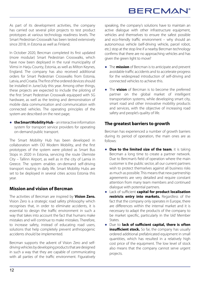## **BERCMAN®**

As part of its development activities, the company has carried out several pilot projects to test product prototypes at various technology readiness levels. The Smart Pedestrian Crosswalk has been tested extensively since 2018, in Estonia as well as Finland.

In October 2020, Bercman completed its first updated (more modular) Smart Pedestrian Crosswalks, which have now been deployed in the rural municipality of Viimsi in Harju County, Estonia, as well as Milton Keynes, England. The company has also received additional orders for Smart Pedestrian Crosswalks from Estonia, Latvia, and Croatia. The first of the ordered devices should be installed in June/July this year. Among other things, these projects are expected to include the piloting of the first Smart Pedestrian Crosswalk equipped with 5G hardware, as well as the testing and demonstration of mobile data communication and communication with connected vehicles. The operating principles of the system are described on the next page;

**● the Smart Mobility Hub** – an interactive information system for transport service providers for operating on-demand public transport.

The Smart Mobility Hub has been developed in collaboration with OÜ Modern Mobility, and the first prototypes of the system were piloted as Smart Bus Stops in 2020 in Estonia, servicing the route Ülemiste City – Tallinn Airport, as well as in the city of Lamia in Greece. The system enables on-demand self-driving transport routing in daily life. Smart Mobility Hubs are set to be deployed in several cities across Estonia this year.

### **Mission and vision of Bercman**

The activities of Bercman are inspired by **Vision Zero.**  Vision Zero is a strategic road safety philosophy which recognises that, in order to eliminate accidents, it is essential to design the traffic environment in such a way that takes into account the fact that humans make mistakes and will continue to make mistakes. Therefore, to increase safety, instead of educating road users, solutions that help completely prevent anthropogenic accidents should be implemented.

Bercman supports the advent of Vision Zero and selfdriving vehicles by developing products that are designed in such a way that they are capable of communicating with all parties of the traffic environment. Figuratively speaking, the company's solutions have to maintain an active dialogue with other infrastructure equipment, vehicles and themselves to ensure the safest possible and eco-friendly traffic environment – why should an autonomous vehicle (self-driving vehicle, parcel robot, etc.) stop at the stop line if a nearby Bercman technology confirms that there are no approaching vehicles and has given the green light to move?

- **●** The **mission** of Bercman is to anticipate and prevent avoidable traffic accidents and to accelerate progress for the widespread introduction of self-driving and connected vehicles to achieve this.
- **●** The **vision** of Bercman is to become the preferred partner on the global market of intelligent transportation systems, while developing smart city, smart road and other innovative mobility products and services, with the objective of increasing road safety and people's quality of life.

### **The greatest barriers to growth**

Bercman has experienced a number of growth barriers during its period of operation, the main ones are as follows:

- **● Due to the limited size of the team**, it is taking Bercman a long time to create a partner network. Due to Bercman's field of operation where the main customer is the public sector, all our current partners wish to protect themselves against all business risks as much as possible. This means that new partnership agreements are very detailed and require constant attention from many team members and continued dialogue with potential partners.
- **●** Lack of sufficient **capital for product localisation restricts entry into markets.** Regardless of the fact that the company only operates in Europe, there are differences within the internal market and it is necessary to adapt the products of the company to be market specific, particularly in the 'old' Member States.
- **●** Due to **lack of sufficient capital, there is often insufficient stock.** So far, the company has usually ordered additional prefabricated equipment in small quantities, which has resulted in a relatively high cost price of the equipment. The low level of stock also means that the company cannot serve urgent projects.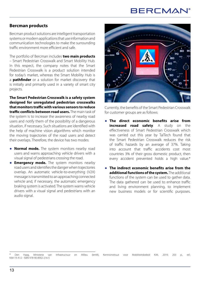## **BERCMAN**

#### **Bercman products**

Bercman product solutions are intelligent transportation systems or modern applications that use information and communication technologies to make the surrounding traffic environment more efficient and safe.

The portfolio of Bercman includes **two main products** – Smart Pedestrian Crosswalk and Smart Mobility Hub. In this respect, the company notes that the Smart Pedestrian Crosswalk is a product solution intended for today's market, whereas the Smart Mobility Hub is a **pathfinder** or a solution for market discovery that is initially and primarily used in a variety of smart city projects.

**The Smart Pedestrian Crosswalk is a safety system designed for unregulated pedestrian crosswalks that monitors traffic with various sensors to reduce traffic conflicts between road users.** The main task of the system is to increase the awareness of nearby road users and notify them of the possibility of a dangerous situation, if necessary. Such situations are identified with the help of machine vision algorithms which monitor the moving trajectories of the road users and detect their overlaps. Therefore, the device has two modes:

- **● Normal mode.** The system monitors nearby road users and warns approaching vehicle drivers with a visual signal of pedestrians crossing the road.
- **● Emergency mode.** The system monitors nearby road users and identifies the danger when trajectories overlap. An automatic vehicle-to-everything (V2X) message is transmitted to an approaching connected vehicle and, if necessary, the automatic emergency braking system is activated. The system warns vehicle drivers with a visual signal and pedestrians with an audio signal.



Currently, the benefits of the Smart Pedestrian Crosswalk for customer groups are as follows:

- **● The direct economic benefits arise from increased road safety**. A study on the effectiveness of Smart Pedestrian Crosswalk which was carried out this year by TalTech found that the Smart Pedestrian Crosswalk reduces the risk of traffic hazards by an average of 37%. Taking into account that traffic accidents cost most countries 3% of their gross domestic product, then every accident prevented holds a high value.\*
- **● The indirect economic benefits arise from the additional functions of the system.** The additional functions of the system can be used to gather data. The data gathered can be used to enhance traffic and living environment planning, to implement new business models or for scientific purposes.

<sup>\*</sup> Den Haag, Ministerie van Infrastructuur en Milieu (IenM), Kennisinstituut voor Mobiliteitsbeleid KiM, 2019, 203 p., ref.; KiM-19-A12 - ISBN 978-90-8902-216-5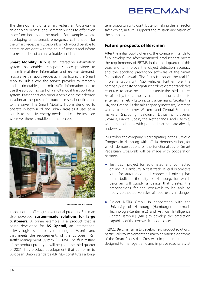The development of a Smart Pedestrian Crosswalk is an ongoing process and Bercman wishes to offer even more functionality on the market. For example, we are developing an automatic emergency call function for the Smart Pedestrian Crosswalk which would be able to detect an accident with the help of sensors and inform first responders of an unavoidable accident.

**Smart Mobility Hub** is an interactive information system that enables transport service providers to transmit real-time information and receive demandresponsive transport requests. In particular, the Smart Mobility Hub allows the service provider to remotely update timetables, transmit traffic information and to use the solution as part of a multimodal transportation system. Passengers can order a vehicle to their desired location at the press of a button or send notifications to the driver. The Smart Mobility Hub is designed to operate in both rural and urban areas as it uses solar panels to meet its energy needs and can be installed wherever there is mobile internet access.



Photo credit: FABULOS project

In addition to offering conventional products, Bercman also develops **custom-made solutions for large customers.** A prime example is a product that is being developed for **AS Operail**, an international railway logistics company operating in Estonia, and that meets the requirements of the European Rail Traffic Management System (ERTMS). The first testing of the product prototype will begin in the third quarter of 2021. This product development that conforms to European Union standards (ERTMS) constitutes a longterm opportunity to contribute to making the rail sector safer which, in turn, supports the mission and vision of the company.

### **Future prospects of Bercman**

After the initial public offering, the company intends to fully develop the aforementioned product that meets the requirements of ERTMS in the third quarter of this year, and to improve the object detection accuracy and the accident prevention software of the Smart Pedestrian Crosswalk. The focus is also on the real-life implementation with V2X vehicles. Furthermore, the company wishes to bring in further development and sales resources to serve the target markets in the third quarter. As of today, the company has entered or is about to enter six markets – Estonia, Latvia, Germany, Croatia, the UK, and Greece. As the sales capacity increases, Bercman wants to enter other Western and Central European markets (including Belgium, Lithuania, Slovenia, Slovakia, France, Spain, the Netherlands, and Czechia) where negotiations with potential partners are already underway.

In October, the company is participating in the ITS World Congress in Hamburg with official demonstrations, for which demonstrations of the functionalities of Smart Pedestrian Crosswalk will be made with cooperation partners:

- **●** Test track project for automated and connected driving in Hamburg. A test track several kilometers long for automated and connected driving has been built in the city of Hamburg, for which Bercman will supply a device that creates the preconditions for the crosswalk to be able to notify connected vehicles of road users in danger.
- **●** Project NATIX GmbH in cooperation with the University of Hamburg (Hamburger Informatik Technologie-Center e.V.) and Artificial Intelligence Center Hamburg (ARIC) to develop the prediction capability of the crosswalk in edge cases.

In 2022, Bercman aims to develop new product solutions, particularly to implement the machine vision algorithms of the Smart Pedestrian Crosswalk in products that are designed to manage traffic and improve road safety at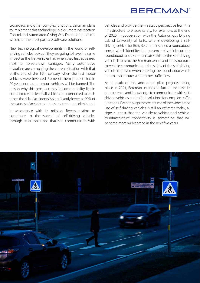## **BERCMAN**<sup>®</sup>

crossroads and other complex junctions. Bercman plans to implement this technology in the Smart Intersection Control and Automated Giving Way Detection products which, for the most part, are software solutions.

New technological developments in the world of selfdriving vehicles look as if they are going to have the same impact as the first vehicles had when they first appeared next to horse-drawn carriages. Many automotive historians are comparing the current situation with that at the end of the 19th century when the first motor vehicles were invented. Some of them predict that in 20 years non-autonomous vehicles will be banned. The reason why this prospect may become a reality lies in connected vehicles: if all vehicles are connected to each other, the risk of accidents is significantly lower, as 90% of the causes of accidents – human errors – are eliminated.

In accordance with its mission, Bercman aims to contribute to the spread of self-driving vehicles through smart solutions that can communicate with

vehicles and provide them a static perspective from the infrastructure to ensure safety. For example, at the end of 2020, in cooperation with the Autonomous Driving Lab of University of Tartu, who is developing a selfdriving vehicle for Bolt, Bercman installed a roundabout sensor which identifies the presence of vehicles on the roundabout and communicates this to the self-driving vehicle. Thanks to the Bercman sensor and infrastructureto-vehicle communication, the safety of the self-driving vehicle improved when entering the roundabout which in turn also ensures a smoother traffic flow.

As a result of this and other pilot projects taking place in 2021, Bercman intends to further increase its competence and knowledge to communicate with selfdriving vehicles and to find solutions for complex traffic junctions. Even though the exact time of the widespread use of self-driving vehicles is still an estimate today, all signs suggest that the vehicle-to-vehicle and vehicleto-infrastructure connectivity is something that will become more widespread in the next five years.

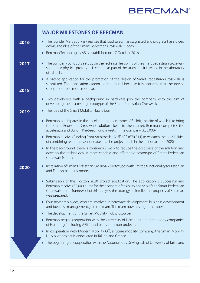|      | <b>MAJOR MILESTONES OF BERCMAN</b>                                                                                                                                                                                                                                                                        |
|------|-----------------------------------------------------------------------------------------------------------------------------------------------------------------------------------------------------------------------------------------------------------------------------------------------------------|
| 2016 | The founder Mart Suurkask realises that road safety has stagnated and progress has slowed<br>$\bullet$<br>down. The idea of the Smart Pedestrian Crosswalk is born.                                                                                                                                       |
|      | Bercman Technologies AS is established on 17 October 2016.                                                                                                                                                                                                                                                |
| 2017 | The company conducts a study on the technical feasibility of the smart pedestrian crosswalk<br>solution. A physical prototype is created as part of the study and it is tested in the laboratory<br>of TalTech.                                                                                           |
| 2018 | A patent application for the protection of the design of Smart Pedestrian Crosswalk is<br>submitted. The application cannot be continued because it is apparent that the device<br>should be made more modular.                                                                                           |
|      | Two developers with a background in hardware join the company with the aim of<br>$\bullet$<br>developing the first testing prototype of the Smart Pedestrian Crosswalk.                                                                                                                                   |
| 2019 | The idea of the Smart Mobility Hub is born.                                                                                                                                                                                                                                                               |
|      | Bercman participates in the acceleration programme of Buildit, the aim of which is to bring<br>the Smart Pedestrian Crosswalk solution closer to the market. Bercman completes the<br>accelerator and BuildIT Pre-Seed Fund invests in the company (€50,000).                                             |
|      | Bercman receives funding from Archimedes NUTIKAS $(\text{\textsterling}70,514)$ to research the possibilities<br>$\bullet$<br>of combining real-time sensor datasets. The project ends in the first quarter of 2020.                                                                                      |
|      | In the background, there is continuous work to reduce the cost price of the solution and<br>$\bullet$<br>develop the technology. A more capable and affordable prototype of Smart Pedestrian<br>Crosswalk is born.                                                                                        |
| 2020 | Installation of Smart Pedestrian Crosswalk prototypes with limited functionality for Estonian<br>$\bullet$<br>and Finnish pilot customers.                                                                                                                                                                |
|      | • Submission of the Horizon 2020 project application. The application is successful and<br>Bercman receives 50,000 euros for the economic feasibility analysis of the Smart Pedestrian<br>Crosswalk. In the framework of this analysis, the strategy on intellectual property of Bercman<br>was prepared. |
|      | Four new employees, who are involved in hardware development, business development<br>and business management, join the team. The team now has eight members.                                                                                                                                             |
|      | The development of the Smart Mobility Hub prototype.                                                                                                                                                                                                                                                      |
|      | Bercman begins cooperation with the University of Hamburg and technology companies<br>of Hamburg (including ARIC), and plans common projects.                                                                                                                                                             |
|      | In cooperation with Modern Mobility OÜ, a future mobility company, the Smart Mobility<br>Hub pilot project is conducted in Tallinn and Greece.                                                                                                                                                            |
|      | The beginning of cooperation with the Autonomous Driving Lab of University of Tartu and                                                                                                                                                                                                                   |
|      |                                                                                                                                                                                                                                                                                                           |
|      |                                                                                                                                                                                                                                                                                                           |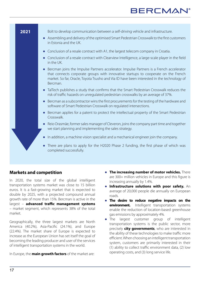## **BERCMAN**



### **Markets and competition**

In 2020, the total size of the global intelligent transportation systems market was close to 15 billion euros. It is a fast-growing market that is expected to double by 2025, with a projected compound annual growth rate of more than 15%. Bercman is active in the largest – **advanced traffic management systems** – market segment, which represents 38% of the total market.

Geographically, the three largest markets are North America (40.2%), Asia-Pacific (24.1%), and Europe (22.4%). The market share of Europe is expected to increase as the European Union has set itself the goal of becoming the leading producer and user of the services of intelligent transportation systems in the world.

In Europe, the **main growth factors** of the market are:

- **● The increasing number of motor vehicles.** There are 300+ million vehicles in Europe and this figure is increasing annually by 1.4%.
- **● Infrastructure solutions with poor safety.** An average of 20,000 people die annually on European roads.
- **● The desire to reduce negative impacts on the environment.** Intelligent transportation systems enable the reduction of location-based greenhouse gas emissions by approximately 4%.
- **●** The largest customer group of intelligent transportation systems is the public sector, more precisely **city governments**, who are interested in the ability of these technologies to make traffic more efficient. When choosing an intelligent transportation system, customers are primarily interested in their (1) ability to collect traffic environment data, (2) low operating costs, and (3) long service life.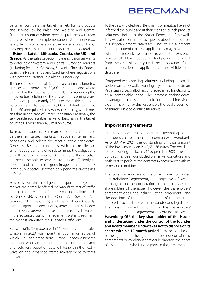Bercman considers the target markets for its products and services to be Baltic and Western and Central European countries where there are problems with road safety or where the implementation rate of new road safety technologies is above the average. As of today, the company has entered or is about to enter six markets – **Estonia, Latvia, Lithuania, Croatia, the UK, and Greece**. As the sales capacity increases, Bercman wants to enter other Western and Central European markets (including Belgium, Germany, Slovenia, Slovakia, France, Spain, the Netherlands, and Czechia) where negotiations with potential partners are already underway.

The product solutions of Bercman are primarily targeted at cities with more than 50,000 inhabitants and where the local authorities have a firm plan for renewing the infrastructure solutions of the city over the coming years. In Europe, approximately 250 cities meet this criterion. Bercman estimates that per 50,000 inhabitants there are about 60 unregulated crosswalks in each city, which means that in the case of Smart Pedestrian Crosswalk, the serviceable addressable market of Bercman in the target countries is more than 450 million euros.

To reach customers, Bercman seeks potential resale partners in target markets, negotiates terms and conditions, and selects the most suitable candidates. Generally, Bercman concludes with the reseller an ambitious agreement which determines the obligations of both parties, in order for Bercman and the selected partner to be able to serve customers as efficiently as possible and maintain the good image of the trademark in the public sector. Bercman only performs direct sales in Estonia.

Solutions for the intelligent transportation systems market are primarily offered by manufacturers of traffic management systems of an international calibre, such as Denso (JP), Kapsch TrafficCom (AT), Swarco (AT), Siemens (DE), Thales (FR) and many others. Globally, the intelligent transportation systems market is divided quite evenly between these manufacturers; however, in the advanced traffic management systems segment, the biggest manufacturer is Kapsch TrafficCom.

Kapsch TrafficCom operates in 25 countries and its sales turnover in 2020 was more than 500 million euros, of which 53% originated from Europe. Kapsch estimates that those who can stand out from the competition and offer solutions based on data will benefit in the next 7 years on the advanced traffic management systems market.

To the best knowledge of Bercman, competitors have not informed the public about their plans to launch product solutions similar to the Smart Pedestrian Crosswalk. This was also confirmed by queries about competitors in European patent databases. Since this is a nascent field and potential patent applications may have been submitted recently, we cannot rule out the existence of a so-called blind period. A blind period means that from the date of priority until the publication of the patent application, the applications are not visible in the database.

Compared to competing solutions (including automatic pedestrian crosswalk warning systems), the Smart Pedestrian Crosswalk offers unprecedented functionality at a comparable price. The greatest technological advantage of the Bercman solution is machine vision algorithms which exclusively enable the local prevention of situation-based conflict situations.

### **Important agreements**

On 4 October 2018, Bercman Technologies AS concluded an investment loan contract with Swedbank. As of 30 May 2021, the outstanding principal amount of the investment loan is 45,651.66 euros. The deadline for reimbursing the loan is 15 September 2022. The loan contract has been concluded on market conditions and both parties perform the contract in accordance with its terms and conditions.

The core shareholders of Bercman have concluded a shareholders' agreement, the objective of which is to agree on the cooperation of the parties as the shareholders of the issuer. However, the shareholders' agreement does not include voting agreements and the decisions of the general meeting of the issuer are adopted in accordance with the statutes and legislation. The most important condition of the shareholders' agreement is the agreement according to which **Hasenberg OÜ, the key shareholder of the issuer, and undertaking under the control of the founder and board member, undertakes not to dispose of its shares within a 12-month period** from the conclusion of the agreement. The agreement does not contain any agreements or conditions that could damage the rights of a shareholder who is not a party to the agreement.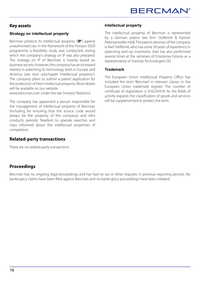#### **Key assets**

### **Strategy on intellectual property**

Bercman protects its intellectual property ('**IP**') against unauthorised use. In the framework of the Horizon 2020 programme, a feasibility study was conducted, during which the company's strategy on IP was also prepared. The strategy on IP of Bercman is heavily based on business secrets; however, the company has an increased interest in patenting its technology both in Europe and America (see next subchapter 'Intellectual property'). The company plans to submit a patent application for the protection of their intellectual property. More details will be available on our website

www.bercman.com under the tab 'Investor Relations'.

The company has appointed a person responsible for the management of intellectual property of Bercman (including for ensuring that the source code would always be the property of the company) and who conducts periodic freedom to operate searches and stays informed about the intellectual properties of competitors.

### **Related-party transactions**

There are no related-party transactions.

#### **Intellectual property**

The intellectual property of Bercman is represented by a German patent law firm Stellbrink & Partner Patentanwälte mbB. The patent attorney of the company is Axel Stellbrink, who has some 30 years of experience in patenting start-up inventions. Axel has also performed several times at the seminars of Enterprise Estonia as a representative of Starship Technologies OÜ.

#### **Trademark**

The European Union Intellectual Property Office has included the term 'Bercman' in relevant classes in the European Union trademark register. The number of certificate of registration is 016235418. As the fields of activity expand, the classification of goods and services will be supplemented to protect the term.

### **Proceedings**

Bercman has no ongoing legal proceedings and has had no tax or other disputes in previous reporting periods. No bankruptcy claims have been filed against Bercman and no bankruptcy proceedings have been initiated.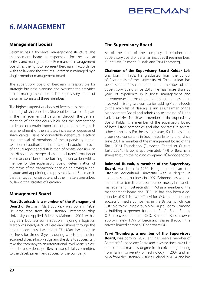## **6. MANAGEMENT**

### **Management bodies**

Bercman has a two-level management structure. The management board is responsible for the regular activity and management of Bercman, the management board has the right to represent Bercman in accordance with the law and the statutes. Bercman is managed by a single-member management board.

The supervisory board of Bercman is responsible for strategic business planning and oversees the activities of the management board. The supervisory board of Bercman consists of three members.

The highest supervisory body of Bercman is the general meeting of shareholders. Shareholders can participate in the management of Bercman through the general meeting of shareholders which has the competence to decide on certain important corporate matters, such as amendment of the statutes; increase or decrease of share capital; issue of convertible debenture; election and removal of members of the supervisory board; selection of auditor; conduct of a special audit; approval of annual report and distribution of profits; decision on the dissolution, merger, division and transformation of Bercman; decision on performing a transaction with a member of the supervisory board; determination of the terms of the transaction; decision on having a legal dispute and appointing a representative of Bercman in that transaction or dispute; and other matters prescribed by law or the statutes of Bercman.

### **Management Board**

**Mart Suurkask is a member of the Management Board** of Bercman. Mart Suurkask was born in 1989. He graduated from the Estonian Entrepreneurship University of Applied Sciences Mainor in 2011 with a degree in business administration, majoring in logistics. Mart owns nearly 40% of Bercman's shares through the holding company Hasenberg OÜ. Mart has been in business for almost 8 years, during which time he has acquired diverse knowledge and the skills to successfully take the company to an international level. Mart is a cofounder and visionary of Bercman and is fully committed to the development and success of the company.

#### **The Supervisory Board**

As of the date of the company description, the Supervisory Board of Bercman includes three members: Kuldar Leis, Raimond Russak, and Tarvi Thomberg.

**Chairman of the Supervisory Board Kuldar Leis** was born in 1968. He graduated from the School of Economics of the University of Tartu. Kuldar has been Bercman's shareholder and a member of the Supervisory Board since 2018. He has more than 25 years of experience in business management and entrepreneurship. Among other things, he has been involved in listing two companies: adding Premia Foods to the main list of Nasdaq Tallinn as Chairman of the Management Board and admission to trading of Linda Nektar on First North as a member of the Supervisory Board. Kuldar is a member of the supervisory board of both listed companies and also operates in several other companies. For the last four years, Kuldar has been a business consultant in South-East Estonia and, since June 2021, a member of the management board of the Tartu 2024 Foundation (European Capital of Culture Tartu 2024). He owns approximately 17% of Bercman's shares through the holding company OÜ Rododendron.

**Raimond Russak, a member of the Supervisory Board,** was born in 1970. He graduated from the Estonian Agricultural University with a degree in economics and business in 1997. Raimond has worked in more than ten different companies, mostly in financial management, most recently in TV3 as a member of the management board and CFO. He has also been a cofounder of Kids Network Television OÜ, one of the most successful media companies in the Baltics, which was just sold to the large group MM Grupp. Today, Raimond is building a greener future in Roofit Solar Energy OÜ as co-founder and CFO. Raimond Russak owns approximately 1.7% of Bercman's shares through the private limited company Finantsvara OÜ.

**Tarvi Thomberg, a member of the Supervisory Board,** was born in 1982. Tarvi has been a member of Bercman's Supervisory Board and investor since 2020. He completed a master's degree in electrical engineering from Tallinn University of Technology in 2007 and an MBA from the Estonian Business School in 2014, and has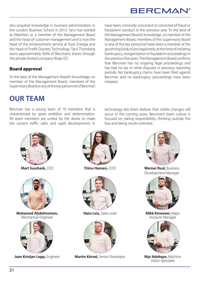also acquired knowledge in business administration in the London Business School in 2013. Tarvi has worked at Elektrilevi as a member of the Management Board and the head of customer management and is now the head of the enhancement service at Eesti Energia and the head of Enefit Outotec Technology. Tarvi Thomberg owns approximately 9.6% of Bercman's shares through the private limited company Wrap OÜ.

### **Board approval**

To the best of the Management Board's knowledge, no member of the Management Board, members of the Supervisory Board or any of the key personnel of Bercman have been criminally convicted or convicted of fraud or fraudulent conduct in the previous year. To the best of the Management Board's knowledge, no member of the Management Board, members of the Supervisory Board or any of the key personnel have been a member of the governing body of any legal entity at the time of initiating bankruptcy, reorganisation or liquidation proceedings in the previous five years. The Management Board confirms that Bercman has no ongoing legal proceedings and has had no tax or other disputes in previous reporting periods. No bankruptcy claims have been filed against Bercman and no bankruptcy proceedings have been initiated.

technology lets them believe that visible changes will occur in the coming years. Bercman's team culture is focused on taking responsibility, thinking outside the

box and being results-oriented.

## **OUR TEAM**

Bercman has a young team of 10 members that is characterised by great ambition and determination. All team members are united by the desire to make the current traffic safer, and rapid developments in



**Mart Suurkask,** CEO



**Mohamed Abdelmomen,**  Mechanical Engineer









**Jaan Kristjan Lepp,** Engineer **Martin Kõrvel,** Senior Developer **Niyi Adebayo,** Machine



**Triinu Hansen,** COO **Werner Ruul,** Business Development Manager



**Hans Leis,** Sales Lead **Mikk Kinsiveer,** Major Account Manager



Vision Specialist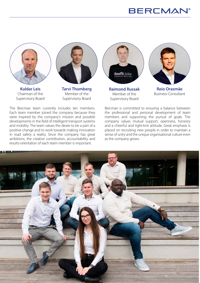## **BERCMAN®**



**Kuldar Leis** Chairman of the Supervisory Board



**Tarvi Thomberg**  Member of the Supervisory Board

The Bercman team currently includes ten members. Each team member joined the company because they were inspired by the company's mission and possible developments in the field of intelligent transport systems and mobility. The team values the desire to be a part of a positive change and to work towards making innovation in road safety a reality. Since the company has great ambitions, the creative contribution, accountability and results-orientation of each team member is important.



**Raimond Russak** Member of the Supervisory Board



**Reio Orasmäe**  Business Consultant

Bercman is committed to ensuring a balance between the professional and personal development of team members and supporting the pursuit of goals. The company values mutual support, openness, honesty and a cheerful and tight-knit attitude. Great emphasis is placed on recruiting new people in order to maintain a sense of unity and the unique organisational culture even as the company grows.

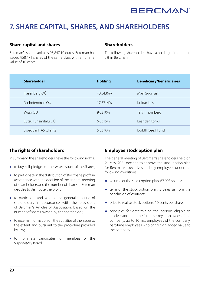## **7. SHARE CAPITAL, SHARES, AND SHAREHOLDERS**

### **Share capital and shares**

Bercman's share capital is 95,847.10 euros. Bercman has issued 958,471 shares of the same class with a nominal value of 10 cents.

#### **Shareholders**

The following shareholders have a holding of more than 5% in Bercman.

| <b>Shareholder</b>   | <b>Holding</b> | <b>Beneficiary/beneficiaries</b> |
|----------------------|----------------|----------------------------------|
| Hasenberg OÜ         | 40.5436%       | Mart Suurkask                    |
| Rododendron OÜ       | 17.3714%       | Kuldar Leis                      |
| Wrap OÜ              | 9.6310\%       | Tarvi Thomberg                   |
| Lutsu Turismitalu OÜ | 6.0315%        | Leander Konks                    |
| Swedbank AS Clients  | 5.5376%        | <b>BuildIT Seed Fund</b>         |

### **The rights of shareholders**

In summary, the shareholders have the following rights:

- **●** to buy, sell, pledge or otherwise dispose of the Shares;
- **●** to participate in the distribution of Bercman's profit in accordance with the decision of the general meeting of shareholders and the number of shares, if Bercman decides to distribute the profit;
- **●** to participate and vote at the general meeting of shareholders in accordance with the provisions of Bercman's Articles of Association, based on the number of shares owned by the shareholder;
- **●** to receive information on the activities of the issuer to the extent and pursuant to the procedure provided by law;
- **●** to nominate candidates for members of the Supervisory Board.

### **Employee stock option plan**

The general meeting of Bercman's shareholders held on 21 May, 2021 decided to approve the stock option plan for Bercman's executives and key employees under the following conditions:

- **●** volume of the stock option plan: 67,993 shares;
- **●** term of the stock option plan: 3 years as from the conclusion of contracts;
- **●** price to realise stock options: 10 cents per share;
- **●** principles for determining the persons eligible to receive stock options: full-time key employees of the company, up to 10 first employees of the company, part-time employees who bring high added value to the company.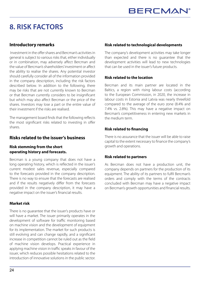## **8. RISK FACTORS**

### **Introductory remarks**

 Investment in the offer shares and Bercman's activities in general is subject to various risks that, either individually or in combination, may adversely affect Bercman and the value of Bercman's shareholders' investment or affect the ability to realise the shares. Any potential investor should carefully consider all of the information provided in the company description, including the risk factors described below. In addition to the following, there may be risks that are not currently known to Bercman or that Bercman currently considers to be insignificant but which may also affect Bercman or the price of the shares. Investors may lose a part or the entire value of their investment if the risks are realised.

The management board finds that the following reflects the most significant risks related to investing in offer shares.

#### **Risks related to the issuer's business**

#### **Risk stemming from the short operating history and forecasts.**

Bercman is a young company that does not have a long operating history, which is reflected in the issuer's current modest sales revenue, especially compared to the forecasts provided in the company description. There is no way to ensure that the forecasts are realised and if the results negatively differ from the forecasts provided in the company description, it may have a negative impact on the issuer's financial results.

#### **Market risk**

There is no guarantee that the issuer's products have or will have a market. The issuer primarily operates in the development of software for traffic monitoring based on machine vision and the development of equipment for its implementation. The market for such products is still evolving and can change rapidly, and a significant increase in competition cannot be ruled out as the field of machine vision develops. Practical experience in applying machine vision in traffic speaks in favour of the issuer, which reduces possible hesitations related to the introduction of innovative solutions in the public sector.

#### **Risk related to technological developments**

The company's development activities may take longer than expected and there is no guarantee that the development activities will lead to new technologies that can be used in the issuer's future products.

#### **Risk related to the location**

Bercman and its main partner are located in the Baltics, a region with rising labour costs (according to the European Commission, in 2020, the increase in labour costs in Estonia and Latvia was nearly threefold compared to the average of the euro zone (8.4% and 7.4% vs. 2.8%). This may have a negative impact on Bercman's competitiveness in entering new markets in the medium term.

#### **Risk related to financing**

There is no assurance that the issuer will be able to raise capital to the extent necessary to finance the company's growth and operations.

#### **Risk related to partners**

As Bercman does not have a production unit, the company depends on partners for the production of its equipment. The ability of its partners to fulfil Bercman's orders and comply with the terms of the contracts concluded with Bercman may have a negative impact on Bercman's growth opportunities and financial results.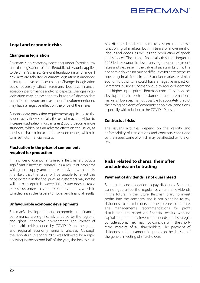### **Legal and economic risks**

#### **Changes in legislation**

Bercman is an company operating under Estonian law and the legislation of the Republic of Estonia applies to Bercman's shares. Relevant legislation may change if new acts are adopted or current legislation is amended or interpretative practices change. Changes in legislation could adversely affect Bercman's business, financial situation, performance and/or prospects. Changes in tax legislation may increase the tax burden of shareholders and affect the return on investment. The aforementioned may have a negative effect on the price of the shares.

Personal data protection requirements applicable to the issuer's activities (especially the use of machine vision to increase road safety in urban areas) could become more stringent, which has an adverse effect on the issuer, as the issuer has to incur unforeseen expenses, which in turn restricts financial results.

#### **Fluctuation in the prices of components required for production**

If the prices of components used in Bercman's products significantly increase, primarily as a result of problems with global supply and more expensive raw materials, it is likely that the issuer will be unable to reflect this price increase in the final price, as customers may not be willing to accept it. However, if the issuer does increase prices, customers may reduce order volumes, which in turn decreases the issuer's turnover and financial results.

#### **Unfavourable economic developments**

Bercman's development and economic and financial performance are significantly affected by the regional and global economic environment. The impact of the health crisis caused by COVID-19 on the global and regional economy remains unclear. Although the downturn in spring 2020 was followed by a rapid upswing in the second half of the year, the health crisis has disrupted and continues to disrupt the normal functioning of markets, both in terms of movement of labour and goods, as well as the production of goods and services. The global financial crisis that began in 2008 led to economic downturn, higher unemployment rates and decrease in the value of assets in Estonia. The economic downturn caused difficulties for entrepreneurs operating in all fields in the Estonian market. A similar economic downturn could have a negative impact on Bercman's business, primarily due to reduced demand and higher input prices. Bercman constantly monitors developments in both the domestic and international markets. However, it is not possible to accurately predict the timing or extent of economic or political conditions, especially with relation to the COVID-19 crisis.

#### **Contractual risks**

The issuer's activities depend on the validity and enforceability of transactions and contracts concluded by the issuer, some of which may be affected by foreign law.

#### **Risks related to shares, their offer and admission to trading**

#### **Payment of dividends is not guaranteed**

Bercman has no obligation to pay dividends. Bercman cannot guarantee the regular payment of dividends in the future. In the future, Bercman plans to invest profits into the company and is not planning to pay dividends to shareholders in the foreseeable future. The management's recommendations for profit distribution are based on financial results, working capital requirements, investment needs, and strategic considerations. They may not coincide with the shortterm interests of all shareholders. The payment of dividends and their amount depends on the decision of the general meeting of shareholders.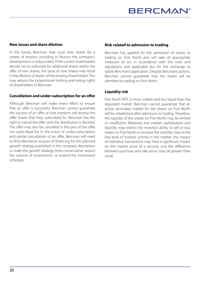#### **New issues and share dilution**

In the future, Bercman may issue new shares for a variety of reasons, including to finance the company's development or reduce debt. If the current shareholders decide not to subscribe for additional shares within the offer of new shares, the issue of new shares may result in the dilution of shares of the existing shareholders. This may reduce the proportional holding and voting rights of shareholders in Bercman.

#### **Cancellation and under-subscription for an offer**

Although Bercman will make every effort to ensure that an offer is successful, Bercman cannot guarantee the success of an offer or that investors will receive the offer shares that they subscribed for. Bercman has the right to cancel the offer until the distribution is decided. The offer may also be cancelled in the part of the offer not subscribed for. In the event of under-subscription and partial cancellation of an offer, Bercman will need to find alternative sources of financing for the planned growth strategy published in the company description or make the growth strategy more conservative, reduce the volume of investments, or extend the investment schedule.

#### **Risk related to admission to trading**

Bercman has applied for the admission of shares to trading on First North and will take all appropriate measures to act in accordance with the rules and regulations and applicable law for the exchange to satisfy Bercman's application. Despite Bercman's actions, Bercman cannot guarantee that the shares will be admitted to trading on First North.

#### **Liquidity risk**

First North MTF is more volatile and less liquid than the regulated market. Bercman cannot guarantee that an active secondary market for the shares on First North will be established after admission to trading. Therefore, the liquidity of the shares on First North may be limited or insufficient. Relatively low market capitalisation and liquidity may restrict the investors' ability to sell or buy shares on First North or increase the volatility. Due to the low level of investor activity in the market, the impact of individual transactions may have a significant impact on the market price of a security and the difference between purchase and sale prices may be greater than usual.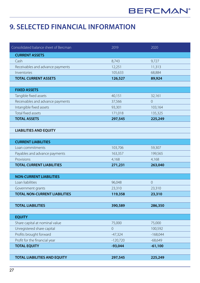## **9. SELECTED FINANCIAL INFORMATION**

| Consolidated balance sheet of Bercman | 2019           | 2020           |
|---------------------------------------|----------------|----------------|
| <b>CURRENT ASSETS</b>                 |                |                |
| Cash                                  | 8,743          | 9,727          |
| Receivables and advance payments      | 12,251         | 11,313         |
| Inventories                           | 105,633        | 68,884         |
| <b>TOTAL CURRENT ASSETS</b>           | 126,527        | 89,924         |
|                                       |                |                |
| <b>FIXED ASSETS</b>                   |                |                |
| Tangible fixed assets                 | 40,151         | 32,161         |
| Receivables and advance payments      | 37,566         | $\overline{0}$ |
| Intangible fixed assets               | 93,301         | 103,164        |
| Total fixed assets                    | 171,018        | 135,325        |
| <b>TOTAL ASSETS</b>                   | 297,545        | 225,249        |
|                                       |                |                |
| <b>LIABILITIES AND EQUITY</b>         |                |                |
|                                       |                |                |
| <b>CURRENT LIABILITIES</b>            |                |                |
| Loan commitments                      | 103,706        | 59,307         |
| Payables and advance payments         | 163,357        | 199,565        |
| Provisions                            | 4,168          | 4,168          |
| <b>TOTAL CURRENT LIABILITIES</b>      | 271,231        | 263,040        |
|                                       |                |                |
| <b>NON-CURRENT LIABILITIES</b>        |                |                |
| Loan liabilities                      | 96,048         | $\overline{0}$ |
| Government grants                     | 23,310         | 23,310         |
| <b>TOTAL NON-CURRENT LIABILITIES</b>  | 119,358        | 23,310         |
|                                       |                |                |
| <b>TOTAL LIABILITIES</b>              | 390,589        | 286,350        |
|                                       |                |                |
| <b>EQUITY</b>                         |                |                |
| Share capital at nominal value        | 75,000         | 75,000         |
| Unregistered share capital            | $\overline{0}$ | 100,592        |
| Profits brought forward               | $-47,324$      | $-168,044$     |
| Profit for the financial year         | $-120,720$     | $-68,649$      |
| <b>TOTAL EQUITY</b>                   | $-93,044$      | $-61,100$      |
|                                       |                |                |
| <b>TOTAL LIABILITIES AND EQUITY</b>   | 297,545        | 225,249        |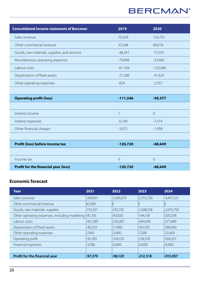## **BERCMAN®**

| <b>Consolidated income statement of Bercman</b> | 2019           | 2020       |
|-------------------------------------------------|----------------|------------|
| Sales revenue                                   | 70,359         | 124,731    |
| Other commercial revenue                        | 35,548         | 89,018     |
| Goods, raw materials, supplies, and services    | $-48,241$      | $-72,597$  |
| Miscellaneous operating expenses                | $-79,998$      | $-33,460$  |
| Labour costs                                    | $-61,104$      | $-123,086$ |
| Depreciation of fixed assets                    | $-27,286$      | $-41,625$  |
| Other operating expenses                        | $-824$         | $-2,357$   |
|                                                 |                |            |
| <b>Operating profit (loss)</b>                  | $-111,546$     | $-59,377$  |
|                                                 |                |            |
| Interest income                                 | $\mathbf{1}$   | $\sqrt{0}$ |
| Interest expenses                               | $-6,100$       | $-7,314$   |
| Other financial charges                         | $-3,075$       | $-1,958$   |
|                                                 |                |            |
| Profit (loss) before income tax                 | $-120,720$     | $-68,649$  |
|                                                 |                |            |
| Income tax                                      | $\overline{0}$ | $\sqrt{a}$ |
| <b>Profit for the financial year (loss)</b>     | $-120,720$     | $-68,649$  |

### **Economic forecast**

| Year                                                  | 2021       | 2022         | 2023         | 2024         |
|-------------------------------------------------------|------------|--------------|--------------|--------------|
| Sales turnover                                        | $-309,921$ | $-1,005,075$ | $-2,313,750$ | $-4,457,125$ |
| Other commercial revenue                              | 42,928     |              |              |              |
| Goods, raw materials, supplies                        | $-155,551$ | $-502,155$   | $-1,438,318$ | $-2,675,750$ |
| Other operating expenses, including marketing -81,316 |            | $-83,820$    | $-144,118$   | $-205,078$   |
| Labour costs                                          | $-161,289$ | $-235,087$   | $-344,493$   | $-371,489$   |
| Depreciation of fixed assets                          | $-40,533$  | $-77,485$    | $-161,103$   | $-268,450$   |
| Other operating expenses                              | $-7,942$   | $-2,400$     | $-7,200$     | $-12,000$    |
| Operating profit                                      | $-93,783$  | $-104,129$   | $-218,518$   | $-924,357$   |
| Financial expenses                                    | $-3,596$   | $-6,000$     | $-6,000$     | $-8,400$     |
|                                                       |            |              |              |              |
| Profit for the financial year                         | -97,379    | $-98,129$    | $-212,518$   | $-915,957$   |